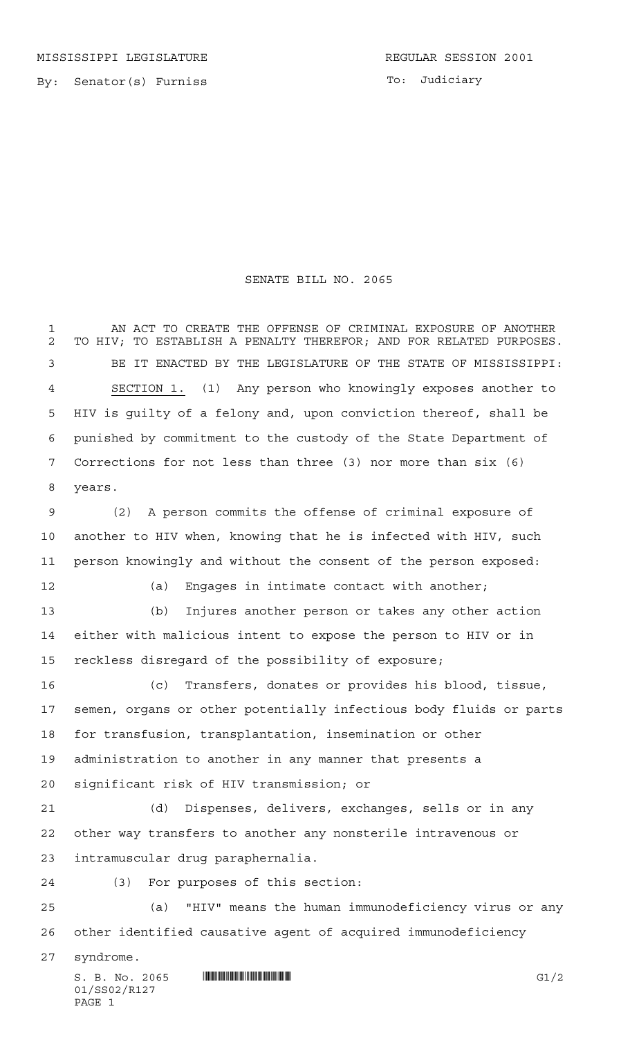01/SS02/R127

PAGE 1

## SENATE BILL NO. 2065

 $S. B. No. 2065$  ...  $\text{minmin}$   $\text{minmin}$   $\text{min}$   $\text{min}$   $\text{min}$   $\text{min}$   $\text{min}$   $\text{min}$   $\text{min}$   $\text{min}$   $\text{min}$   $\text{min}$   $\text{min}$   $\text{min}$   $\text{min}$   $\text{min}$   $\text{min}$   $\text{min}$   $\text{min}$   $\text{min}$   $\text{min}$   $\text{min}$   $\text{min}$   $\text{min}$   $\text{min}$  AN ACT TO CREATE THE OFFENSE OF CRIMINAL EXPOSURE OF ANOTHER TO HIV; TO ESTABLISH A PENALTY THEREFOR; AND FOR RELATED PURPOSES. BE IT ENACTED BY THE LEGISLATURE OF THE STATE OF MISSISSIPPI: SECTION 1. (1) Any person who knowingly exposes another to HIV is guilty of a felony and, upon conviction thereof, shall be punished by commitment to the custody of the State Department of Corrections for not less than three (3) nor more than six (6) years. (2) A person commits the offense of criminal exposure of another to HIV when, knowing that he is infected with HIV, such person knowingly and without the consent of the person exposed: (a) Engages in intimate contact with another; (b) Injures another person or takes any other action either with malicious intent to expose the person to HIV or in reckless disregard of the possibility of exposure; (c) Transfers, donates or provides his blood, tissue, semen, organs or other potentially infectious body fluids or parts for transfusion, transplantation, insemination or other administration to another in any manner that presents a significant risk of HIV transmission; or (d) Dispenses, delivers, exchanges, sells or in any other way transfers to another any nonsterile intravenous or intramuscular drug paraphernalia. (3) For purposes of this section: (a) "HIV" means the human immunodeficiency virus or any other identified causative agent of acquired immunodeficiency syndrome.